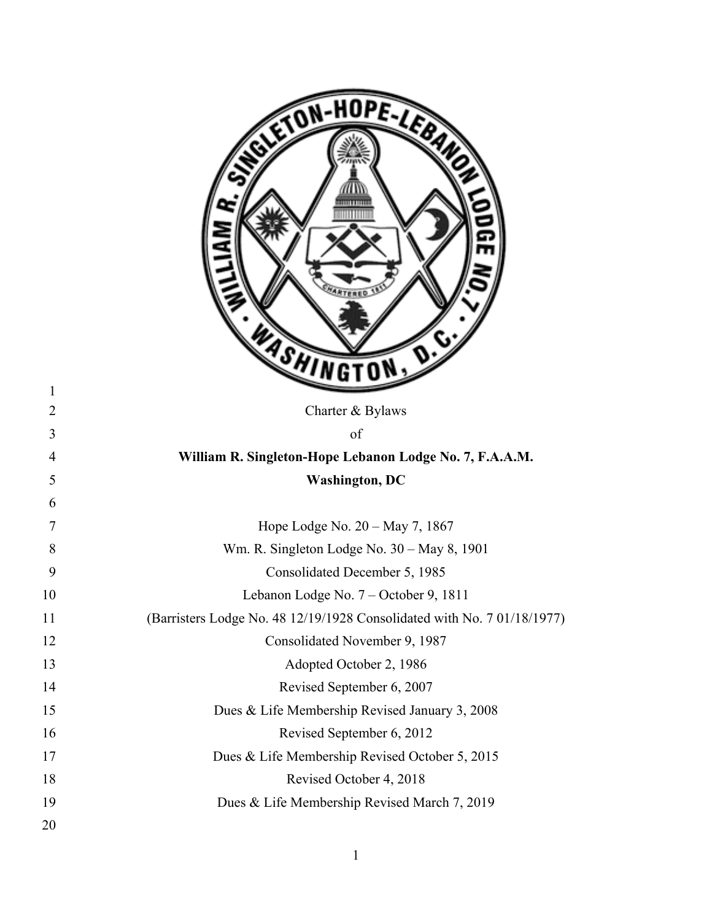|                | ETON-HOPE-LEB                                                           |
|----------------|-------------------------------------------------------------------------|
| $\mathbf{1}$   |                                                                         |
| $\overline{2}$ | Charter & Bylaws                                                        |
| 3              | of                                                                      |
| $\overline{4}$ | William R. Singleton-Hope Lebanon Lodge No. 7, F.A.A.M.                 |
| 5              | <b>Washington, DC</b>                                                   |
| 6              |                                                                         |
| $\overline{7}$ | Hope Lodge No. 20 - May 7, 1867                                         |
| 8              | Wm. R. Singleton Lodge No. 30 – May 8, 1901                             |
| 9              | Consolidated December 5, 1985                                           |
| 10             | Lebanon Lodge No. 7 - October 9, 1811                                   |
| 11             | (Barristers Lodge No. 48 12/19/1928 Consolidated with No. 7 01/18/1977) |
| 12             | Consolidated November 9, 1987                                           |
| 13             | Adopted October 2, 1986                                                 |
| 14             | Revised September 6, 2007                                               |
| 15             | Dues & Life Membership Revised January 3, 2008                          |
| 16             | Revised September 6, 2012                                               |
| 17             | Dues & Life Membership Revised October 5, 2015                          |
| 18             | Revised October 4, 2018                                                 |
| 19             | Dues & Life Membership Revised March 7, 2019                            |
| 20             |                                                                         |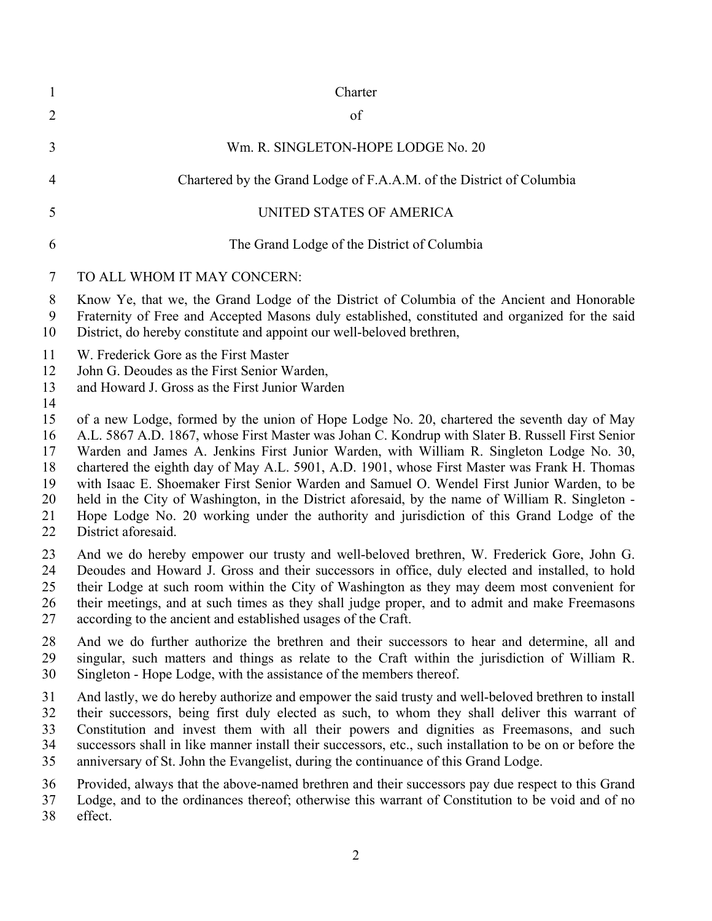| $\mathbf{1}$                                 | Charter                                                                                                                                                                                                                                                                                                                                                                                                                                                                                                                                                                                                                                                                                                           |
|----------------------------------------------|-------------------------------------------------------------------------------------------------------------------------------------------------------------------------------------------------------------------------------------------------------------------------------------------------------------------------------------------------------------------------------------------------------------------------------------------------------------------------------------------------------------------------------------------------------------------------------------------------------------------------------------------------------------------------------------------------------------------|
| $\overline{2}$                               | of                                                                                                                                                                                                                                                                                                                                                                                                                                                                                                                                                                                                                                                                                                                |
| 3                                            | Wm. R. SINGLETON-HOPE LODGE No. 20                                                                                                                                                                                                                                                                                                                                                                                                                                                                                                                                                                                                                                                                                |
| 4                                            | Chartered by the Grand Lodge of F.A.A.M. of the District of Columbia                                                                                                                                                                                                                                                                                                                                                                                                                                                                                                                                                                                                                                              |
| 5                                            | UNITED STATES OF AMERICA                                                                                                                                                                                                                                                                                                                                                                                                                                                                                                                                                                                                                                                                                          |
| 6                                            | The Grand Lodge of the District of Columbia                                                                                                                                                                                                                                                                                                                                                                                                                                                                                                                                                                                                                                                                       |
| 7                                            | TO ALL WHOM IT MAY CONCERN:                                                                                                                                                                                                                                                                                                                                                                                                                                                                                                                                                                                                                                                                                       |
| 8<br>9<br>10                                 | Know Ye, that we, the Grand Lodge of the District of Columbia of the Ancient and Honorable<br>Fraternity of Free and Accepted Masons duly established, constituted and organized for the said<br>District, do hereby constitute and appoint our well-beloved brethren,                                                                                                                                                                                                                                                                                                                                                                                                                                            |
| 11<br>12<br>13<br>14                         | W. Frederick Gore as the First Master<br>John G. Deoudes as the First Senior Warden,<br>and Howard J. Gross as the First Junior Warden                                                                                                                                                                                                                                                                                                                                                                                                                                                                                                                                                                            |
| 15<br>16<br>17<br>18<br>19<br>20<br>21<br>22 | of a new Lodge, formed by the union of Hope Lodge No. 20, chartered the seventh day of May<br>A.L. 5867 A.D. 1867, whose First Master was Johan C. Kondrup with Slater B. Russell First Senior<br>Warden and James A. Jenkins First Junior Warden, with William R. Singleton Lodge No. 30,<br>chartered the eighth day of May A.L. 5901, A.D. 1901, whose First Master was Frank H. Thomas<br>with Isaac E. Shoemaker First Senior Warden and Samuel O. Wendel First Junior Warden, to be<br>held in the City of Washington, in the District aforesaid, by the name of William R. Singleton -<br>Hope Lodge No. 20 working under the authority and jurisdiction of this Grand Lodge of the<br>District aforesaid. |
| 23<br>24<br>25<br>26<br>27                   | And we do hereby empower our trusty and well-beloved brethren, W. Frederick Gore, John G.<br>Deoudes and Howard J. Gross and their successors in office, duly elected and installed, to hold<br>their Lodge at such room within the City of Washington as they may deem most convenient for<br>their meetings, and at such times as they shall judge proper, and to admit and make Freemasons<br>according to the ancient and established usages of the Craft.                                                                                                                                                                                                                                                    |
| 28<br>29<br>30                               | And we do further authorize the brethren and their successors to hear and determine, all and<br>singular, such matters and things as relate to the Craft within the jurisdiction of William R.<br>Singleton - Hope Lodge, with the assistance of the members thereof.                                                                                                                                                                                                                                                                                                                                                                                                                                             |
| 31<br>32<br>33<br>34<br>35                   | And lastly, we do hereby authorize and empower the said trusty and well-beloved brethren to install<br>their successors, being first duly elected as such, to whom they shall deliver this warrant of<br>Constitution and invest them with all their powers and dignities as Freemasons, and such<br>successors shall in like manner install their successors, etc., such installation to be on or before the<br>anniversary of St. John the Evangelist, during the continuance of this Grand Lodge.                                                                                                                                                                                                              |
| 36<br>37<br>38                               | Provided, always that the above-named brethren and their successors pay due respect to this Grand<br>Lodge, and to the ordinances thereof; otherwise this warrant of Constitution to be void and of no<br>effect.                                                                                                                                                                                                                                                                                                                                                                                                                                                                                                 |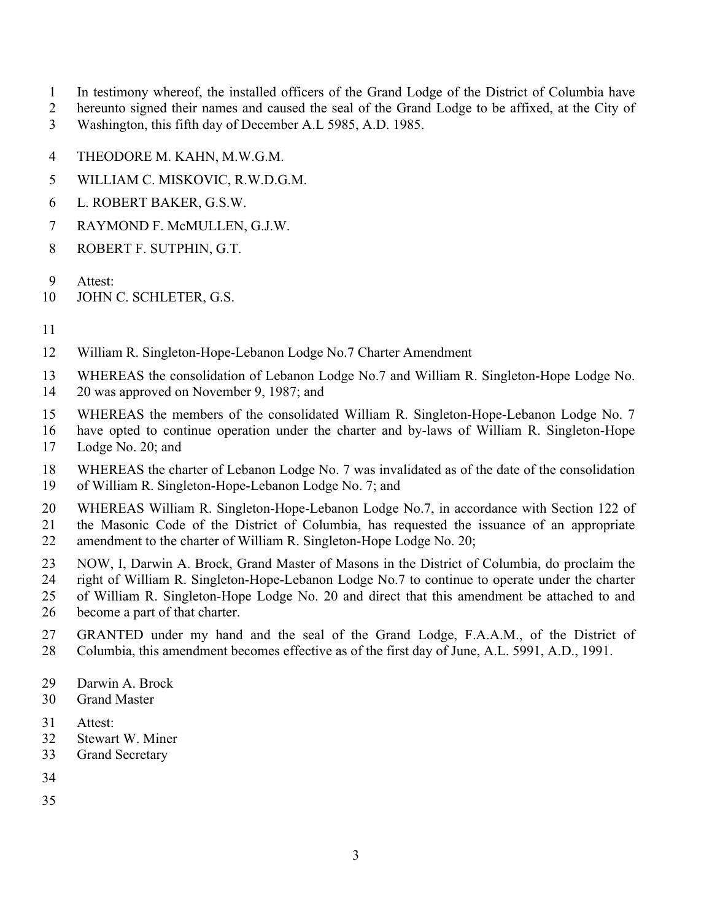- In testimony whereof, the installed officers of the Grand Lodge of the District of Columbia have
- hereunto signed their names and caused the seal of the Grand Lodge to be affixed, at the City of Washington, this fifth day of December A.L 5985, A.D. 1985.
- THEODORE M. KAHN, M.W.G.M.
- WILLIAM C. MISKOVIC, R.W.D.G.M.
- L. ROBERT BAKER, G.S.W.
- RAYMOND F. McMULLEN, G.J.W.
- ROBERT F. SUTPHIN, G.T.
- Attest:
- 10 JOHN C. SCHLETER, G.S.
- 
- William R. Singleton-Hope-Lebanon Lodge No.7 Charter Amendment
- WHEREAS the consolidation of Lebanon Lodge No.7 and William R. Singleton-Hope Lodge No.
- 20 was approved on November 9, 1987; and
- WHEREAS the members of the consolidated William R. Singleton-Hope-Lebanon Lodge No. 7
- have opted to continue operation under the charter and by-laws of William R. Singleton-Hope Lodge No. 20; and
- WHEREAS the charter of Lebanon Lodge No. 7 was invalidated as of the date of the consolidation of William R. Singleton-Hope-Lebanon Lodge No. 7; and
- WHEREAS William R. Singleton-Hope-Lebanon Lodge No.7, in accordance with Section 122 of the Masonic Code of the District of Columbia, has requested the issuance of an appropriate 22 amendment to the charter of William R. Singleton-Hope Lodge No. 20;
- NOW, I, Darwin A. Brock, Grand Master of Masons in the District of Columbia, do proclaim the right of William R. Singleton-Hope-Lebanon Lodge No.7 to continue to operate under the charter of William R. Singleton-Hope Lodge No. 20 and direct that this amendment be attached to and
- become a part of that charter.
- GRANTED under my hand and the seal of the Grand Lodge, F.A.A.M., of the District of Columbia, this amendment becomes effective as of the first day of June, A.L. 5991, A.D., 1991.
- Darwin A. Brock
- Grand Master
- Attest:
- Stewart W. Miner
- Grand Secretary
- 
- 
-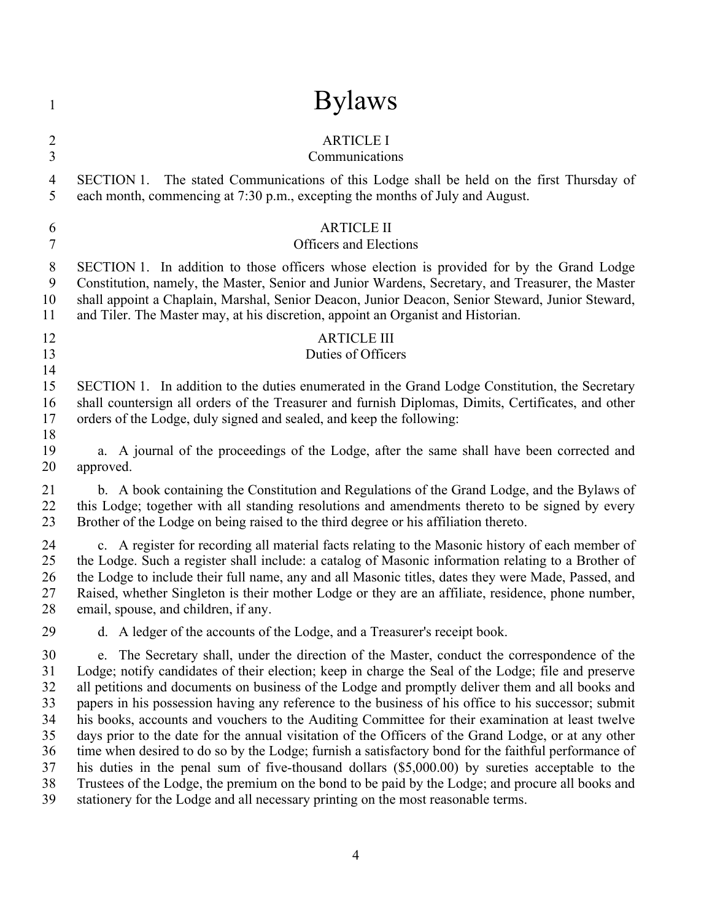| $\mathbf{1}$                                             | <b>Bylaws</b>                                                                                                                                                                                                                                                                                                                                                                                                                                                                                                                                                                                                                                                                                                                                                                                                                                                                                                                                                                                                                                |
|----------------------------------------------------------|----------------------------------------------------------------------------------------------------------------------------------------------------------------------------------------------------------------------------------------------------------------------------------------------------------------------------------------------------------------------------------------------------------------------------------------------------------------------------------------------------------------------------------------------------------------------------------------------------------------------------------------------------------------------------------------------------------------------------------------------------------------------------------------------------------------------------------------------------------------------------------------------------------------------------------------------------------------------------------------------------------------------------------------------|
| $\overline{c}$                                           | <b>ARTICLE I</b>                                                                                                                                                                                                                                                                                                                                                                                                                                                                                                                                                                                                                                                                                                                                                                                                                                                                                                                                                                                                                             |
| $\overline{3}$                                           | Communications                                                                                                                                                                                                                                                                                                                                                                                                                                                                                                                                                                                                                                                                                                                                                                                                                                                                                                                                                                                                                               |
| 4                                                        | SECTION 1. The stated Communications of this Lodge shall be held on the first Thursday of                                                                                                                                                                                                                                                                                                                                                                                                                                                                                                                                                                                                                                                                                                                                                                                                                                                                                                                                                    |
| 5                                                        | each month, commencing at 7:30 p.m., excepting the months of July and August.                                                                                                                                                                                                                                                                                                                                                                                                                                                                                                                                                                                                                                                                                                                                                                                                                                                                                                                                                                |
| 6                                                        | <b>ARTICLE II</b>                                                                                                                                                                                                                                                                                                                                                                                                                                                                                                                                                                                                                                                                                                                                                                                                                                                                                                                                                                                                                            |
| 7                                                        | <b>Officers and Elections</b>                                                                                                                                                                                                                                                                                                                                                                                                                                                                                                                                                                                                                                                                                                                                                                                                                                                                                                                                                                                                                |
| 8                                                        | SECTION 1. In addition to those officers whose election is provided for by the Grand Lodge                                                                                                                                                                                                                                                                                                                                                                                                                                                                                                                                                                                                                                                                                                                                                                                                                                                                                                                                                   |
| 9                                                        | Constitution, namely, the Master, Senior and Junior Wardens, Secretary, and Treasurer, the Master                                                                                                                                                                                                                                                                                                                                                                                                                                                                                                                                                                                                                                                                                                                                                                                                                                                                                                                                            |
| 10                                                       | shall appoint a Chaplain, Marshal, Senior Deacon, Junior Deacon, Senior Steward, Junior Steward,                                                                                                                                                                                                                                                                                                                                                                                                                                                                                                                                                                                                                                                                                                                                                                                                                                                                                                                                             |
| 11                                                       | and Tiler. The Master may, at his discretion, appoint an Organist and Historian.                                                                                                                                                                                                                                                                                                                                                                                                                                                                                                                                                                                                                                                                                                                                                                                                                                                                                                                                                             |
| 12<br>13<br>14                                           | <b>ARTICLE III</b><br>Duties of Officers                                                                                                                                                                                                                                                                                                                                                                                                                                                                                                                                                                                                                                                                                                                                                                                                                                                                                                                                                                                                     |
| 15<br>16<br>17<br>18                                     | SECTION 1. In addition to the duties enumerated in the Grand Lodge Constitution, the Secretary<br>shall countersign all orders of the Treasurer and furnish Diplomas, Dimits, Certificates, and other<br>orders of the Lodge, duly signed and sealed, and keep the following:                                                                                                                                                                                                                                                                                                                                                                                                                                                                                                                                                                                                                                                                                                                                                                |
| 19                                                       | a. A journal of the proceedings of the Lodge, after the same shall have been corrected and                                                                                                                                                                                                                                                                                                                                                                                                                                                                                                                                                                                                                                                                                                                                                                                                                                                                                                                                                   |
| 20                                                       | approved.                                                                                                                                                                                                                                                                                                                                                                                                                                                                                                                                                                                                                                                                                                                                                                                                                                                                                                                                                                                                                                    |
| 21                                                       | b. A book containing the Constitution and Regulations of the Grand Lodge, and the Bylaws of                                                                                                                                                                                                                                                                                                                                                                                                                                                                                                                                                                                                                                                                                                                                                                                                                                                                                                                                                  |
| 22                                                       | this Lodge; together with all standing resolutions and amendments thereto to be signed by every                                                                                                                                                                                                                                                                                                                                                                                                                                                                                                                                                                                                                                                                                                                                                                                                                                                                                                                                              |
| 23                                                       | Brother of the Lodge on being raised to the third degree or his affiliation thereto.                                                                                                                                                                                                                                                                                                                                                                                                                                                                                                                                                                                                                                                                                                                                                                                                                                                                                                                                                         |
| 24                                                       | c. A register for recording all material facts relating to the Masonic history of each member of                                                                                                                                                                                                                                                                                                                                                                                                                                                                                                                                                                                                                                                                                                                                                                                                                                                                                                                                             |
| 25                                                       | the Lodge. Such a register shall include: a catalog of Masonic information relating to a Brother of                                                                                                                                                                                                                                                                                                                                                                                                                                                                                                                                                                                                                                                                                                                                                                                                                                                                                                                                          |
| 26                                                       | the Lodge to include their full name, any and all Masonic titles, dates they were Made, Passed, and                                                                                                                                                                                                                                                                                                                                                                                                                                                                                                                                                                                                                                                                                                                                                                                                                                                                                                                                          |
| 27                                                       | Raised, whether Singleton is their mother Lodge or they are an affiliate, residence, phone number,                                                                                                                                                                                                                                                                                                                                                                                                                                                                                                                                                                                                                                                                                                                                                                                                                                                                                                                                           |
| 28                                                       | email, spouse, and children, if any.                                                                                                                                                                                                                                                                                                                                                                                                                                                                                                                                                                                                                                                                                                                                                                                                                                                                                                                                                                                                         |
| 29                                                       | d. A ledger of the accounts of the Lodge, and a Treasurer's receipt book.                                                                                                                                                                                                                                                                                                                                                                                                                                                                                                                                                                                                                                                                                                                                                                                                                                                                                                                                                                    |
| 30<br>31<br>32<br>33<br>34<br>35<br>36<br>37<br>38<br>39 | The Secretary shall, under the direction of the Master, conduct the correspondence of the<br>$e_{\cdot}$<br>Lodge; notify candidates of their election; keep in charge the Seal of the Lodge; file and preserve<br>all petitions and documents on business of the Lodge and promptly deliver them and all books and<br>papers in his possession having any reference to the business of his office to his successor; submit<br>his books, accounts and vouchers to the Auditing Committee for their examination at least twelve<br>days prior to the date for the annual visitation of the Officers of the Grand Lodge, or at any other<br>time when desired to do so by the Lodge; furnish a satisfactory bond for the faithful performance of<br>his duties in the penal sum of five-thousand dollars (\$5,000.00) by sureties acceptable to the<br>Trustees of the Lodge, the premium on the bond to be paid by the Lodge; and procure all books and<br>stationery for the Lodge and all necessary printing on the most reasonable terms. |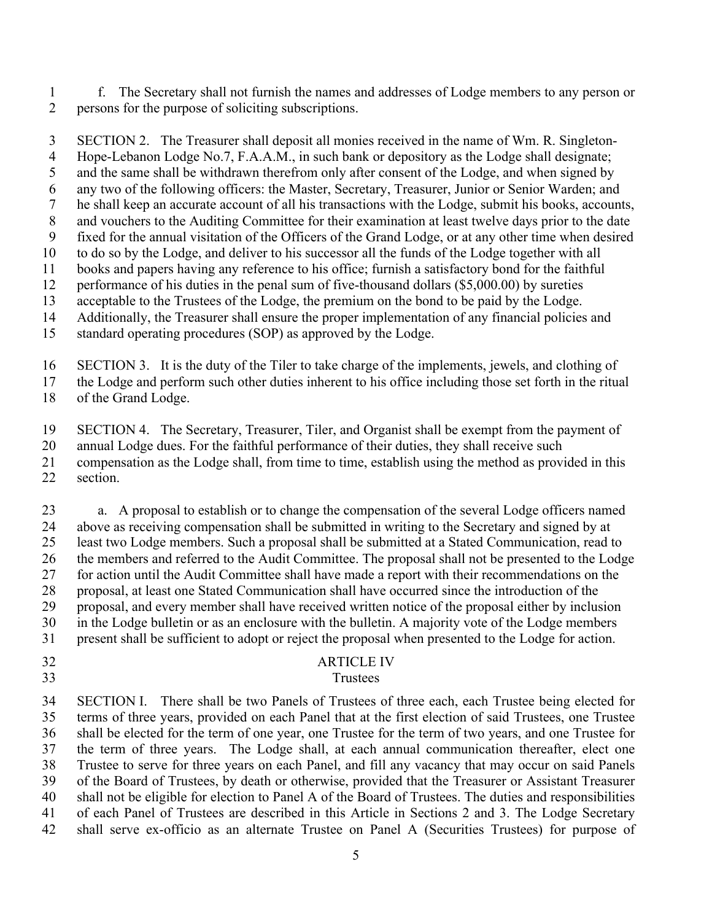f. The Secretary shall not furnish the names and addresses of Lodge members to any person or persons for the purpose of soliciting subscriptions.

 SECTION 2. The Treasurer shall deposit all monies received in the name of Wm. R. Singleton- Hope-Lebanon Lodge No.7, F.A.A.M., in such bank or depository as the Lodge shall designate; and the same shall be withdrawn therefrom only after consent of the Lodge, and when signed by any two of the following officers: the Master, Secretary, Treasurer, Junior or Senior Warden; and he shall keep an accurate account of all his transactions with the Lodge, submit his books, accounts, and vouchers to the Auditing Committee for their examination at least twelve days prior to the date fixed for the annual visitation of the Officers of the Grand Lodge, or at any other time when desired

to do so by the Lodge, and deliver to his successor all the funds of the Lodge together with all

 books and papers having any reference to his office; furnish a satisfactory bond for the faithful performance of his duties in the penal sum of five-thousand dollars (\$5,000.00) by sureties

acceptable to the Trustees of the Lodge, the premium on the bond to be paid by the Lodge.

Additionally, the Treasurer shall ensure the proper implementation of any financial policies and

standard operating procedures (SOP) as approved by the Lodge.

SECTION 3. It is the duty of the Tiler to take charge of the implements, jewels, and clothing of

the Lodge and perform such other duties inherent to his office including those set forth in the ritual

of the Grand Lodge.

SECTION 4. The Secretary, Treasurer, Tiler, and Organist shall be exempt from the payment of

annual Lodge dues. For the faithful performance of their duties, they shall receive such

compensation as the Lodge shall, from time to time, establish using the method as provided in this

section.

 a. A proposal to establish or to change the compensation of the several Lodge officers named above as receiving compensation shall be submitted in writing to the Secretary and signed by at least two Lodge members. Such a proposal shall be submitted at a Stated Communication, read to the members and referred to the Audit Committee. The proposal shall not be presented to the Lodge for action until the Audit Committee shall have made a report with their recommendations on the proposal, at least one Stated Communication shall have occurred since the introduction of the proposal, and every member shall have received written notice of the proposal either by inclusion in the Lodge bulletin or as an enclosure with the bulletin. A majority vote of the Lodge members present shall be sufficient to adopt or reject the proposal when presented to the Lodge for action.

# ARTICLE IV

### Trustees

 SECTION I. There shall be two Panels of Trustees of three each, each Trustee being elected for terms of three years, provided on each Panel that at the first election of said Trustees, one Trustee shall be elected for the term of one year, one Trustee for the term of two years, and one Trustee for the term of three years. The Lodge shall, at each annual communication thereafter, elect one Trustee to serve for three years on each Panel, and fill any vacancy that may occur on said Panels of the Board of Trustees, by death or otherwise, provided that the Treasurer or Assistant Treasurer shall not be eligible for election to Panel A of the Board of Trustees. The duties and responsibilities of each Panel of Trustees are described in this Article in Sections 2 and 3. The Lodge Secretary shall serve ex-officio as an alternate Trustee on Panel A (Securities Trustees) for purpose of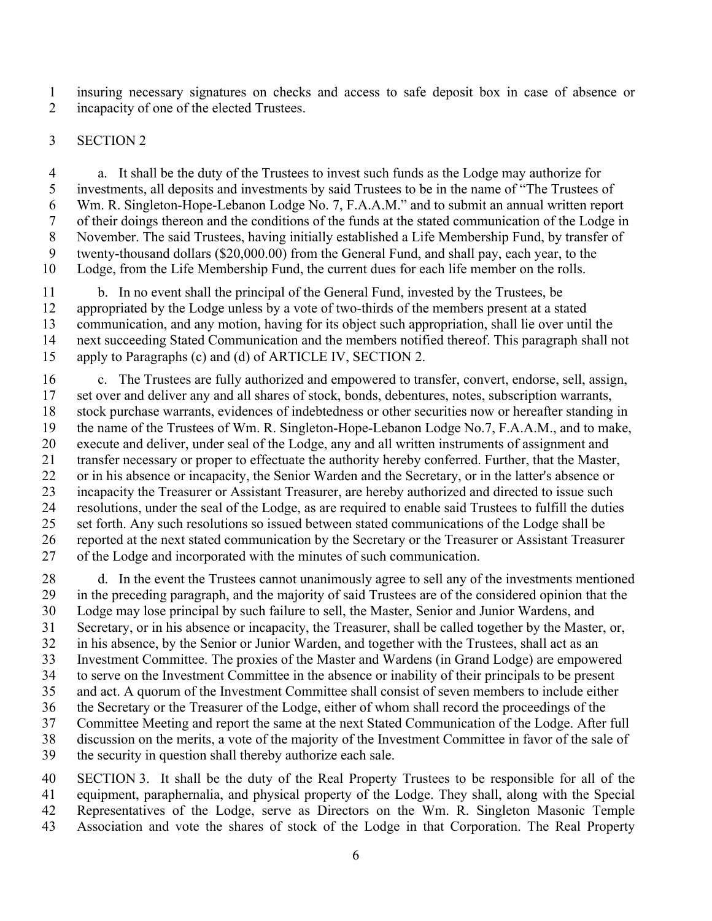insuring necessary signatures on checks and access to safe deposit box in case of absence or 2 incapacity of one of the elected Trustees.

#### SECTION 2

 a. It shall be the duty of the Trustees to invest such funds as the Lodge may authorize for investments, all deposits and investments by said Trustees to be in the name of "The Trustees of Wm. R. Singleton-Hope-Lebanon Lodge No. 7, F.A.A.M." and to submit an annual written report of their doings thereon and the conditions of the funds at the stated communication of the Lodge in November. The said Trustees, having initially established a Life Membership Fund, by transfer of twenty-thousand dollars (\$20,000.00) from the General Fund, and shall pay, each year, to the Lodge, from the Life Membership Fund, the current dues for each life member on the rolls.

 b. In no event shall the principal of the General Fund, invested by the Trustees, be appropriated by the Lodge unless by a vote of two-thirds of the members present at a stated communication, and any motion, having for its object such appropriation, shall lie over until the next succeeding Stated Communication and the members notified thereof. This paragraph shall not apply to Paragraphs (c) and (d) of ARTICLE IV, SECTION 2.

 c. The Trustees are fully authorized and empowered to transfer, convert, endorse, sell, assign, set over and deliver any and all shares of stock, bonds, debentures, notes, subscription warrants, stock purchase warrants, evidences of indebtedness or other securities now or hereafter standing in the name of the Trustees of Wm. R. Singleton-Hope-Lebanon Lodge No.7, F.A.A.M., and to make, execute and deliver, under seal of the Lodge, any and all written instruments of assignment and transfer necessary or proper to effectuate the authority hereby conferred. Further, that the Master, or in his absence or incapacity, the Senior Warden and the Secretary, or in the latter's absence or incapacity the Treasurer or Assistant Treasurer, are hereby authorized and directed to issue such resolutions, under the seal of the Lodge, as are required to enable said Trustees to fulfill the duties set forth. Any such resolutions so issued between stated communications of the Lodge shall be reported at the next stated communication by the Secretary or the Treasurer or Assistant Treasurer of the Lodge and incorporated with the minutes of such communication.

 d. In the event the Trustees cannot unanimously agree to sell any of the investments mentioned in the preceding paragraph, and the majority of said Trustees are of the considered opinion that the Lodge may lose principal by such failure to sell, the Master, Senior and Junior Wardens, and Secretary, or in his absence or incapacity, the Treasurer, shall be called together by the Master, or, in his absence, by the Senior or Junior Warden, and together with the Trustees, shall act as an Investment Committee. The proxies of the Master and Wardens (in Grand Lodge) are empowered to serve on the Investment Committee in the absence or inability of their principals to be present and act. A quorum of the Investment Committee shall consist of seven members to include either the Secretary or the Treasurer of the Lodge, either of whom shall record the proceedings of the Committee Meeting and report the same at the next Stated Communication of the Lodge. After full discussion on the merits, a vote of the majority of the Investment Committee in favor of the sale of the security in question shall thereby authorize each sale.

 SECTION 3. It shall be the duty of the Real Property Trustees to be responsible for all of the equipment, paraphernalia, and physical property of the Lodge. They shall, along with the Special Representatives of the Lodge, serve as Directors on the Wm. R. Singleton Masonic Temple Association and vote the shares of stock of the Lodge in that Corporation. The Real Property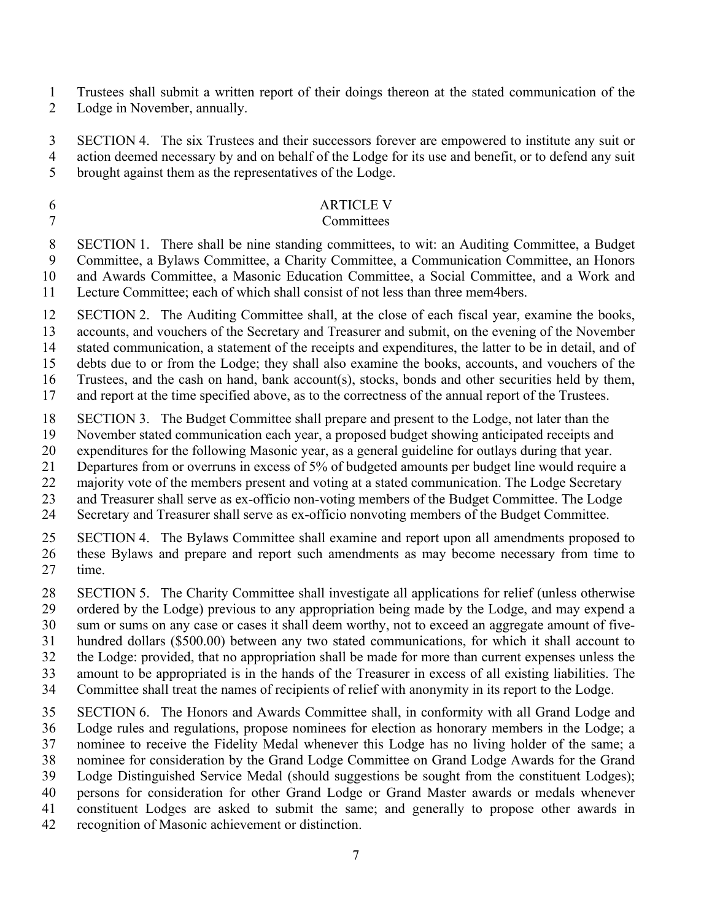Trustees shall submit a written report of their doings thereon at the stated communication of the

Lodge in November, annually.

 SECTION 4. The six Trustees and their successors forever are empowered to institute any suit or action deemed necessary by and on behalf of the Lodge for its use and benefit, or to defend any suit

brought against them as the representatives of the Lodge.

# ARTICLE V

### Committees

 SECTION 1. There shall be nine standing committees, to wit: an Auditing Committee, a Budget Committee, a Bylaws Committee, a Charity Committee, a Communication Committee, an Honors and Awards Committee, a Masonic Education Committee, a Social Committee, and a Work and Lecture Committee; each of which shall consist of not less than three mem4bers.

SECTION 2. The Auditing Committee shall, at the close of each fiscal year, examine the books,

 accounts, and vouchers of the Secretary and Treasurer and submit, on the evening of the November stated communication, a statement of the receipts and expenditures, the latter to be in detail, and of

debts due to or from the Lodge; they shall also examine the books, accounts, and vouchers of the

Trustees, and the cash on hand, bank account(s), stocks, bonds and other securities held by them,

and report at the time specified above, as to the correctness of the annual report of the Trustees.

SECTION 3. The Budget Committee shall prepare and present to the Lodge, not later than the

November stated communication each year, a proposed budget showing anticipated receipts and

expenditures for the following Masonic year, as a general guideline for outlays during that year.

Departures from or overruns in excess of 5% of budgeted amounts per budget line would require a

majority vote of the members present and voting at a stated communication. The Lodge Secretary

and Treasurer shall serve as ex-officio non-voting members of the Budget Committee. The Lodge

Secretary and Treasurer shall serve as ex-officio nonvoting members of the Budget Committee.

 SECTION 4. The Bylaws Committee shall examine and report upon all amendments proposed to these Bylaws and prepare and report such amendments as may become necessary from time to time.

SECTION 5. The Charity Committee shall investigate all applications for relief (unless otherwise

ordered by the Lodge) previous to any appropriation being made by the Lodge, and may expend a

sum or sums on any case or cases it shall deem worthy, not to exceed an aggregate amount of five-

hundred dollars (\$500.00) between any two stated communications, for which it shall account to

the Lodge: provided, that no appropriation shall be made for more than current expenses unless the

 amount to be appropriated is in the hands of the Treasurer in excess of all existing liabilities. The Committee shall treat the names of recipients of relief with anonymity in its report to the Lodge.

 SECTION 6. The Honors and Awards Committee shall, in conformity with all Grand Lodge and Lodge rules and regulations, propose nominees for election as honorary members in the Lodge; a nominee to receive the Fidelity Medal whenever this Lodge has no living holder of the same; a nominee for consideration by the Grand Lodge Committee on Grand Lodge Awards for the Grand Lodge Distinguished Service Medal (should suggestions be sought from the constituent Lodges); persons for consideration for other Grand Lodge or Grand Master awards or medals whenever constituent Lodges are asked to submit the same; and generally to propose other awards in recognition of Masonic achievement or distinction.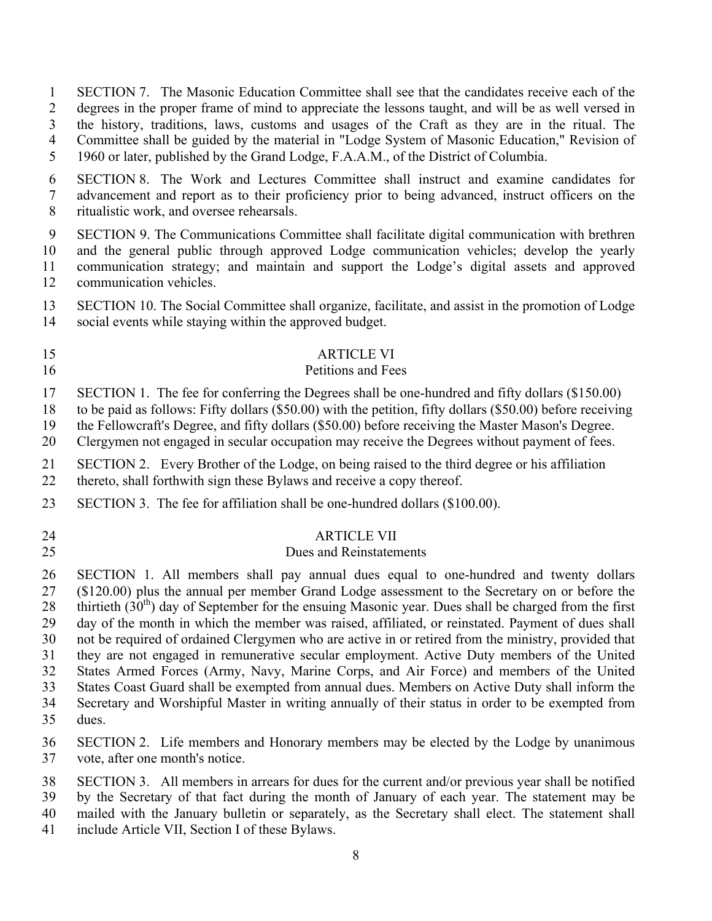SECTION 7. The Masonic Education Committee shall see that the candidates receive each of the degrees in the proper frame of mind to appreciate the lessons taught, and will be as well versed in the history, traditions, laws, customs and usages of the Craft as they are in the ritual. The Committee shall be guided by the material in "Lodge System of Masonic Education," Revision of 1960 or later, published by the Grand Lodge, F.A.A.M., of the District of Columbia. SECTION 8. The Work and Lectures Committee shall instruct and examine candidates for advancement and report as to their proficiency prior to being advanced, instruct officers on the ritualistic work, and oversee rehearsals. SECTION 9. The Communications Committee shall facilitate digital communication with brethren and the general public through approved Lodge communication vehicles; develop the yearly communication strategy; and maintain and support the Lodge's digital assets and approved communication vehicles. SECTION 10. The Social Committee shall organize, facilitate, and assist in the promotion of Lodge social events while staying within the approved budget. ARTICLE VI Petitions and Fees SECTION 1. The fee for conferring the Degrees shall be one-hundred and fifty dollars (\$150.00) to be paid as follows: Fifty dollars (\$50.00) with the petition, fifty dollars (\$50.00) before receiving the Fellowcraft's Degree, and fifty dollars (\$50.00) before receiving the Master Mason's Degree. Clergymen not engaged in secular occupation may receive the Degrees without payment of fees. SECTION 2. Every Brother of the Lodge, on being raised to the third degree or his affiliation thereto, shall forthwith sign these Bylaws and receive a copy thereof. SECTION 3. The fee for affiliation shall be one-hundred dollars (\$100.00). ARTICLE VII Dues and Reinstatements SECTION 1. All members shall pay annual dues equal to one-hundred and twenty dollars (\$120.00) plus the annual per member Grand Lodge assessment to the Secretary on or before the 28 thirtieth  $(30<sup>th</sup>)$  day of September for the ensuing Masonic year. Dues shall be charged from the first day of the month in which the member was raised, affiliated, or reinstated. Payment of dues shall not be required of ordained Clergymen who are active in or retired from the ministry, provided that they are not engaged in remunerative secular employment. Active Duty members of the United States Armed Forces (Army, Navy, Marine Corps, and Air Force) and members of the United States Coast Guard shall be exempted from annual dues. Members on Active Duty shall inform the Secretary and Worshipful Master in writing annually of their status in order to be exempted from dues. SECTION 2. Life members and Honorary members may be elected by the Lodge by unanimous vote, after one month's notice. SECTION 3. All members in arrears for dues for the current and/or previous year shall be notified by the Secretary of that fact during the month of January of each year. The statement may be mailed with the January bulletin or separately, as the Secretary shall elect. The statement shall

include Article VII, Section I of these Bylaws.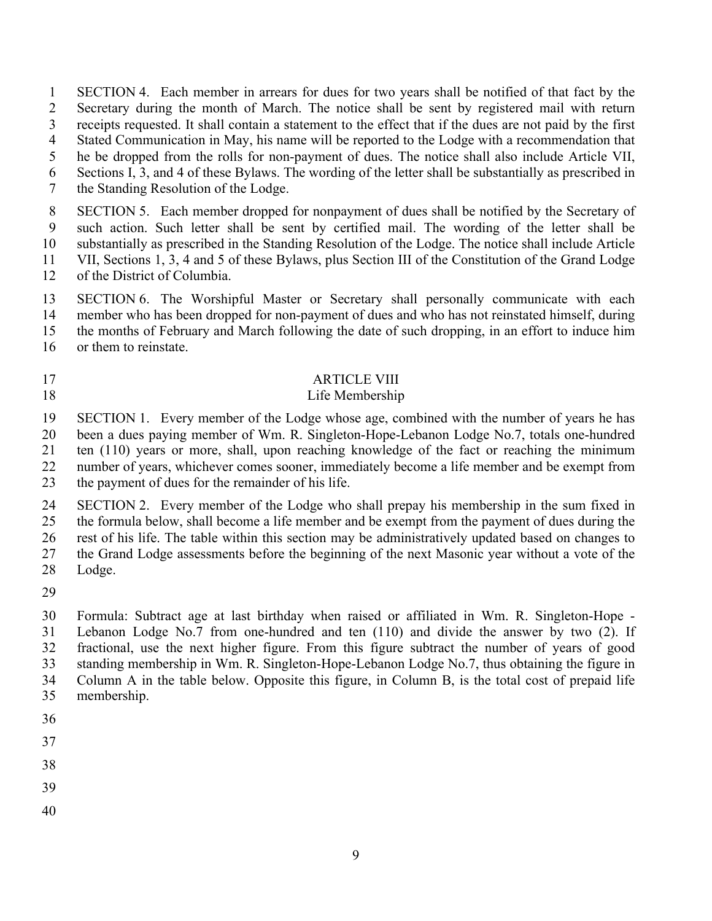SECTION 4. Each member in arrears for dues for two years shall be notified of that fact by the Secretary during the month of March. The notice shall be sent by registered mail with return

- receipts requested. It shall contain a statement to the effect that if the dues are not paid by the first
- Stated Communication in May, his name will be reported to the Lodge with a recommendation that
- he be dropped from the rolls for non-payment of dues. The notice shall also include Article VII,
- Sections I, 3, and 4 of these Bylaws. The wording of the letter shall be substantially as prescribed in
- the Standing Resolution of the Lodge.

 SECTION 5. Each member dropped for nonpayment of dues shall be notified by the Secretary of such action. Such letter shall be sent by certified mail. The wording of the letter shall be substantially as prescribed in the Standing Resolution of the Lodge. The notice shall include Article VII, Sections 1, 3, 4 and 5 of these Bylaws, plus Section III of the Constitution of the Grand Lodge

- of the District of Columbia.
- SECTION 6. The Worshipful Master or Secretary shall personally communicate with each member who has been dropped for non-payment of dues and who has not reinstated himself, during
- the months of February and March following the date of such dropping, in an effort to induce him
- or them to reinstate.
- 

### 17 ARTICLE VIII

### Life Membership

 SECTION 1. Every member of the Lodge whose age, combined with the number of years he has been a dues paying member of Wm. R. Singleton-Hope-Lebanon Lodge No.7, totals one-hundred ten (110) years or more, shall, upon reaching knowledge of the fact or reaching the minimum number of years, whichever comes sooner, immediately become a life member and be exempt from

the payment of dues for the remainder of his life.

 SECTION 2. Every member of the Lodge who shall prepay his membership in the sum fixed in the formula below, shall become a life member and be exempt from the payment of dues during the rest of his life. The table within this section may be administratively updated based on changes to

the Grand Lodge assessments before the beginning of the next Masonic year without a vote of the

- Lodge.
- 

 Formula: Subtract age at last birthday when raised or affiliated in Wm. R. Singleton-Hope - Lebanon Lodge No.7 from one-hundred and ten (110) and divide the answer by two (2). If fractional, use the next higher figure. From this figure subtract the number of years of good standing membership in Wm. R. Singleton-Hope-Lebanon Lodge No.7, thus obtaining the figure in Column A in the table below. Opposite this figure, in Column B, is the total cost of prepaid life membership.

- 
- 
- 
- 
-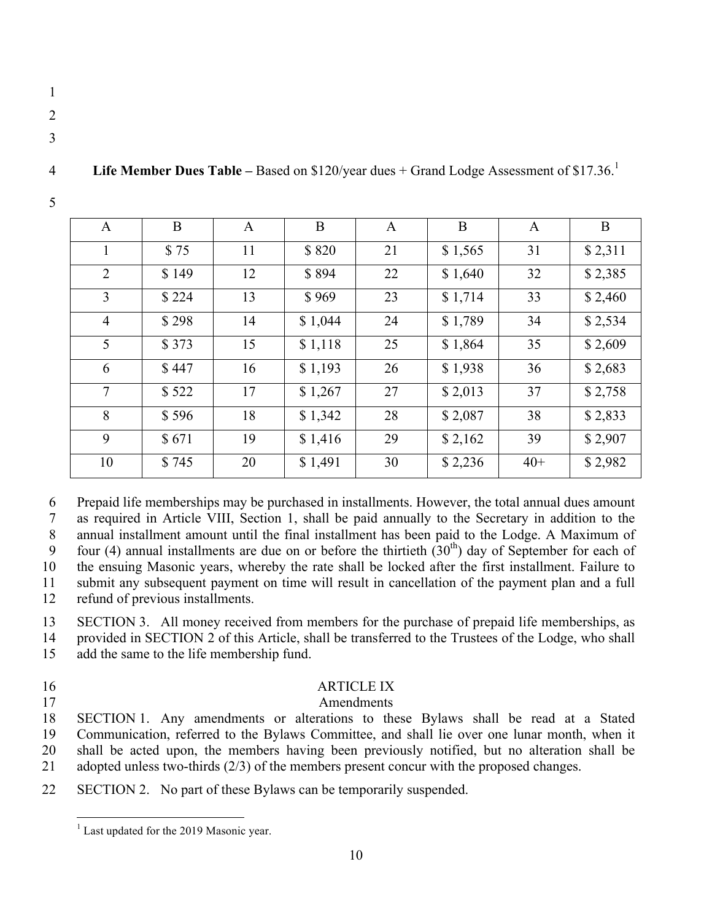- 
- 
- 

|  |  | <b>Life Member Dues Table – Based on \$120/year dues + Grand Lodge Assessment of \$17.36.</b> |
|--|--|-----------------------------------------------------------------------------------------------|
|  |  |                                                                                               |

| $\mathbf{A}$   | B     | $\mathbf{A}$ | B       | $\mathbf{A}$ | B       | $\mathbf{A}$ | B       |
|----------------|-------|--------------|---------|--------------|---------|--------------|---------|
| 1              | \$75  | 11           | \$820   | 21           | \$1,565 | 31           | \$2,311 |
| 2              | \$149 | 12           | \$894   | 22           | \$1,640 | 32           | \$2,385 |
| $\overline{3}$ | \$224 | 13           | \$969   | 23           | \$1,714 | 33           | \$2,460 |
| $\overline{4}$ | \$298 | 14           | \$1,044 | 24           | \$1,789 | 34           | \$2,534 |
| 5              | \$373 | 15           | \$1,118 | 25           | \$1,864 | 35           | \$2,609 |
| 6              | \$447 | 16           | \$1,193 | 26           | \$1,938 | 36           | \$2,683 |
| $\overline{7}$ | \$522 | 17           | \$1,267 | 27           | \$2,013 | 37           | \$2,758 |
| 8              | \$596 | 18           | \$1,342 | 28           | \$2,087 | 38           | \$2,833 |
| 9              | \$671 | 19           | \$1,416 | 29           | \$2,162 | 39           | \$2,907 |
| 10             | \$745 | 20           | \$1,491 | 30           | \$2,236 | $40+$        | \$2,982 |

Prepaid life memberships may be purchased in installments. However, the total annual dues amount

 as required in Article VIII, Section 1, shall be paid annually to the Secretary in addition to the annual installment amount until the final installment has been paid to the Lodge. A Maximum of 6 9 four (4) annual installments are due on or before the thirtieth  $(30<sup>th</sup>)$  day of September for each of the ensuing Masonic years, whereby the rate shall be locked after the first installment. Failure to submit any subsequent payment on time will result in cancellation of the payment plan and a full

refund of previous installments.

SECTION 3. All money received from members for the purchase of prepaid life memberships, as

 provided in SECTION 2 of this Article, shall be transferred to the Trustees of the Lodge, who shall add the same to the life membership fund.

# ARTICLE IX

### Amendments

 SECTION 1. Any amendments or alterations to these Bylaws shall be read at a Stated Communication, referred to the Bylaws Committee, and shall lie over one lunar month, when it shall be acted upon, the members having been previously notified, but no alteration shall be adopted unless two-thirds (2/3) of the members present concur with the proposed changes.

SECTION 2. No part of these Bylaws can be temporarily suspended.

 $<sup>1</sup>$  Last updated for the 2019 Masonic year.</sup>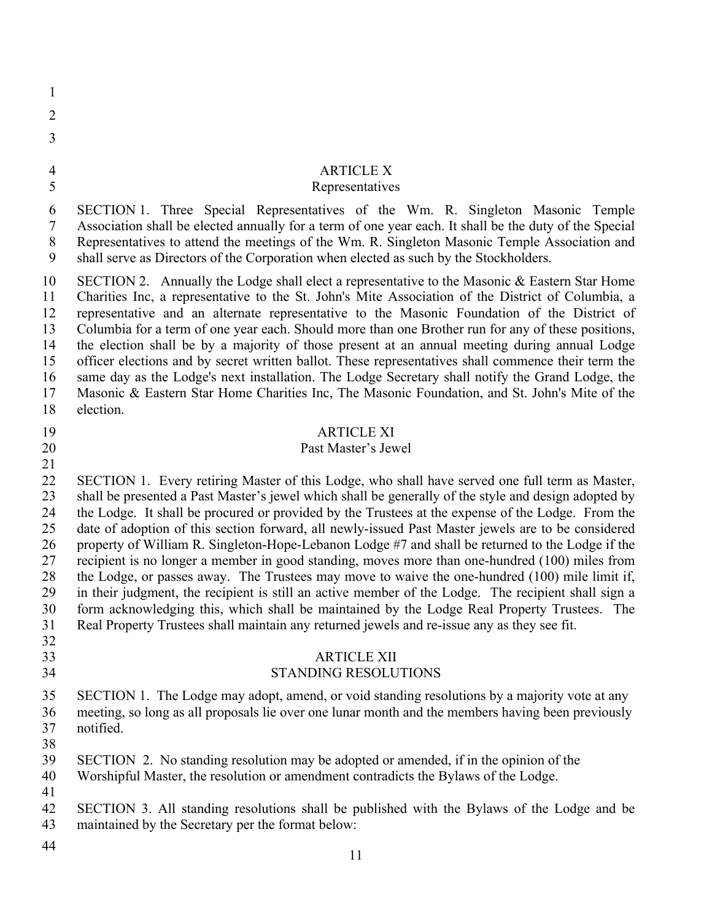| н |
|---|

- 
- 
- 
- 
- 

# ARTICLE X

# Representatives

 SECTION 1. Three Special Representatives of the Wm. R. Singleton Masonic Temple Association shall be elected annually for a term of one year each. It shall be the duty of the Special Representatives to attend the meetings of the Wm. R. Singleton Masonic Temple Association and shall serve as Directors of the Corporation when elected as such by the Stockholders.

 SECTION 2. Annually the Lodge shall elect a representative to the Masonic & Eastern Star Home Charities Inc, a representative to the St. John's Mite Association of the District of Columbia, a representative and an alternate representative to the Masonic Foundation of the District of Columbia for a term of one year each. Should more than one Brother run for any of these positions, the election shall be by a majority of those present at an annual meeting during annual Lodge officer elections and by secret written ballot. These representatives shall commence their term the same day as the Lodge's next installation. The Lodge Secretary shall notify the Grand Lodge, the Masonic & Eastern Star Home Charities Inc, The Masonic Foundation, and St. John's Mite of the election.

### ARTICLE XI

### Past Master's Jewel

 SECTION 1. Every retiring Master of this Lodge, who shall have served one full term as Master, shall be presented a Past Master's jewel which shall be generally of the style and design adopted by the Lodge. It shall be procured or provided by the Trustees at the expense of the Lodge. From the date of adoption of this section forward, all newly-issued Past Master jewels are to be considered property of William R. Singleton-Hope-Lebanon Lodge #7 and shall be returned to the Lodge if the recipient is no longer a member in good standing, moves more than one-hundred (100) miles from the Lodge, or passes away. The Trustees may move to waive the one-hundred (100) mile limit if, in their judgment, the recipient is still an active member of the Lodge. The recipient shall sign a form acknowledging this, which shall be maintained by the Lodge Real Property Trustees. The Real Property Trustees shall maintain any returned jewels and re-issue any as they see fit. 

# ARTICLE XII

### STANDING RESOLUTIONS

 SECTION 1. The Lodge may adopt, amend, or void standing resolutions by a majority vote at any meeting, so long as all proposals lie over one lunar month and the members having been previously notified.

 SECTION 2. No standing resolution may be adopted or amended, if in the opinion of the Worshipful Master, the resolution or amendment contradicts the Bylaws of the Lodge.

- 
- 

 SECTION 3. All standing resolutions shall be published with the Bylaws of the Lodge and be maintained by the Secretary per the format below: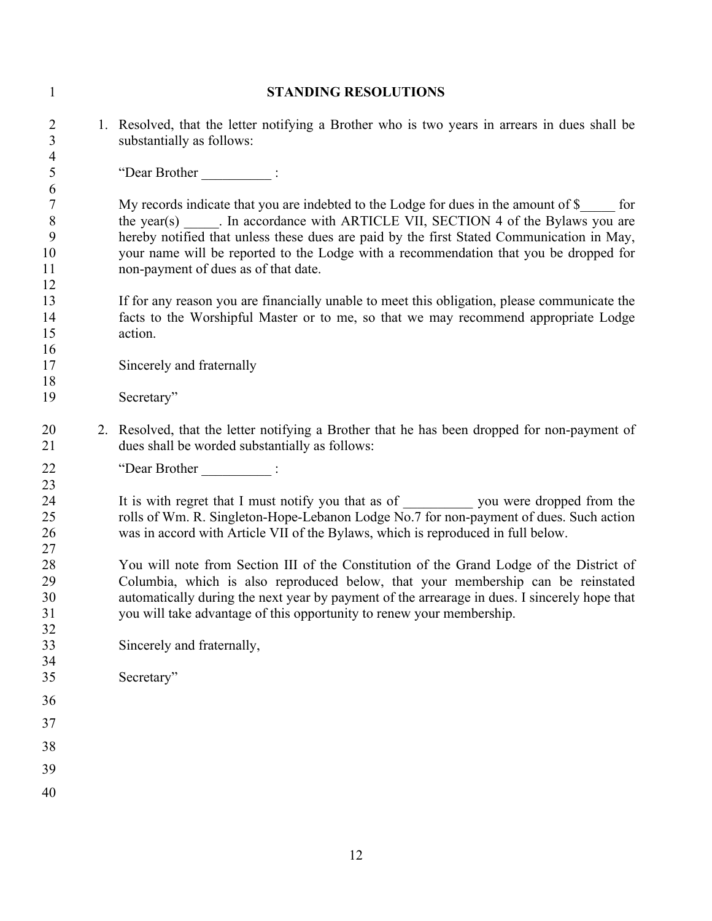| $\mathbf{1}$                                       | <b>STANDING RESOLUTIONS</b>                                                                                                                                                                                                                                                                                                                                                                                  |
|----------------------------------------------------|--------------------------------------------------------------------------------------------------------------------------------------------------------------------------------------------------------------------------------------------------------------------------------------------------------------------------------------------------------------------------------------------------------------|
| $\overline{2}$<br>$\mathfrak{Z}$<br>$\overline{4}$ | 1. Resolved, that the letter notifying a Brother who is two years in arrears in dues shall be<br>substantially as follows:                                                                                                                                                                                                                                                                                   |
| 5                                                  | "Dear Brother ______________:                                                                                                                                                                                                                                                                                                                                                                                |
| 6<br>$\tau$<br>$\, 8$<br>9<br>10<br>11<br>12       | My records indicate that you are indebted to the Lodge for dues in the amount of \$ for<br>the year(s) ______. In accordance with ARTICLE VII, SECTION 4 of the Bylaws you are<br>hereby notified that unless these dues are paid by the first Stated Communication in May,<br>your name will be reported to the Lodge with a recommendation that you be dropped for<br>non-payment of dues as of that date. |
| 13<br>14<br>15<br>16                               | If for any reason you are financially unable to meet this obligation, please communicate the<br>facts to the Worshipful Master or to me, so that we may recommend appropriate Lodge<br>action.                                                                                                                                                                                                               |
| 17                                                 | Sincerely and fraternally                                                                                                                                                                                                                                                                                                                                                                                    |
| 18<br>19                                           | Secretary"                                                                                                                                                                                                                                                                                                                                                                                                   |
| 20<br>21                                           | 2. Resolved, that the letter notifying a Brother that he has been dropped for non-payment of<br>dues shall be worded substantially as follows:                                                                                                                                                                                                                                                               |
| 22                                                 | "Dear Brother _____________:                                                                                                                                                                                                                                                                                                                                                                                 |
| 23<br>24<br>25<br>26<br>27                         | It is with regret that I must notify you that as of ____________ you were dropped from the<br>rolls of Wm. R. Singleton-Hope-Lebanon Lodge No.7 for non-payment of dues. Such action<br>was in accord with Article VII of the Bylaws, which is reproduced in full below.                                                                                                                                     |
| 28<br>29<br>30<br>31<br>32                         | You will note from Section III of the Constitution of the Grand Lodge of the District of<br>Columbia, which is also reproduced below, that your membership can be reinstated<br>automatically during the next year by payment of the arrearage in dues. I sincerely hope that<br>you will take advantage of this opportunity to renew your membership.                                                       |
| 33<br>34                                           | Sincerely and fraternally,                                                                                                                                                                                                                                                                                                                                                                                   |
| 35                                                 | Secretary"                                                                                                                                                                                                                                                                                                                                                                                                   |
| 36                                                 |                                                                                                                                                                                                                                                                                                                                                                                                              |
| 37                                                 |                                                                                                                                                                                                                                                                                                                                                                                                              |
| 38                                                 |                                                                                                                                                                                                                                                                                                                                                                                                              |
| 39<br>40                                           |                                                                                                                                                                                                                                                                                                                                                                                                              |
|                                                    |                                                                                                                                                                                                                                                                                                                                                                                                              |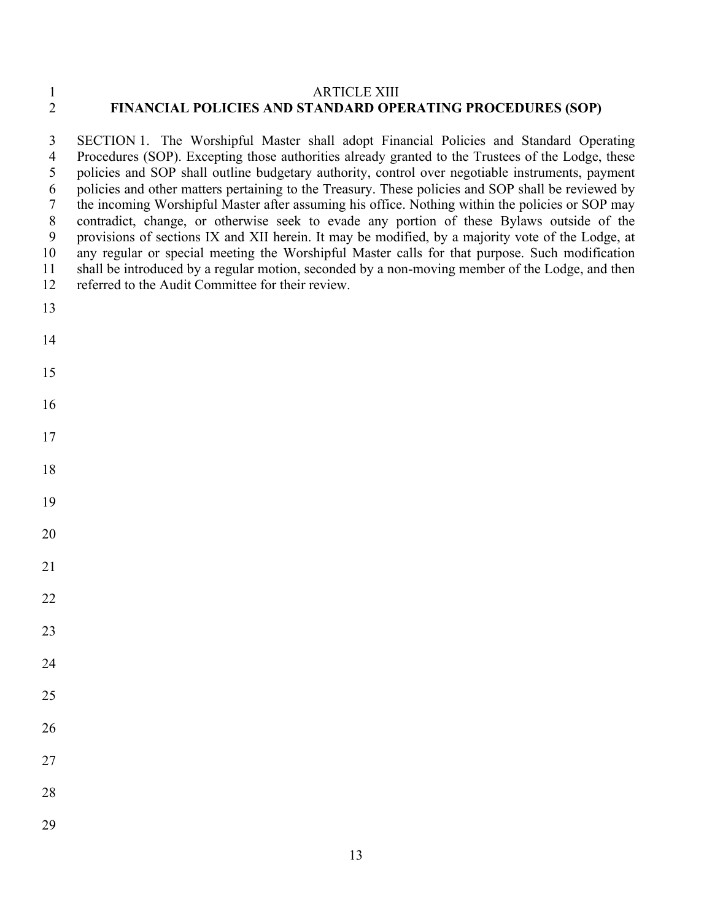#### 1<br>2 FINANCIAL POLICIES AND STANDARD OPE **FINANCIAL POLICIES AND STANDARD OPERATING PROCEDURES (SOP)**

 SECTION 1. The Worshipful Master shall adopt Financial Policies and Standard Operating Procedures (SOP). Excepting those authorities already granted to the Trustees of the Lodge, these policies and SOP shall outline budgetary authority, control over negotiable instruments, payment policies and other matters pertaining to the Treasury. These policies and SOP shall be reviewed by the incoming Worshipful Master after assuming his office. Nothing within the policies or SOP may contradict, change, or otherwise seek to evade any portion of these Bylaws outside of the provisions of sections IX and XII herein. It may be modified, by a majority vote of the Lodge, at any regular or special meeting the Worshipful Master calls for that purpose. Such modification shall be introduced by a regular motion, seconded by a non-moving member of the Lodge, and then referred to the Audit Committee for their review.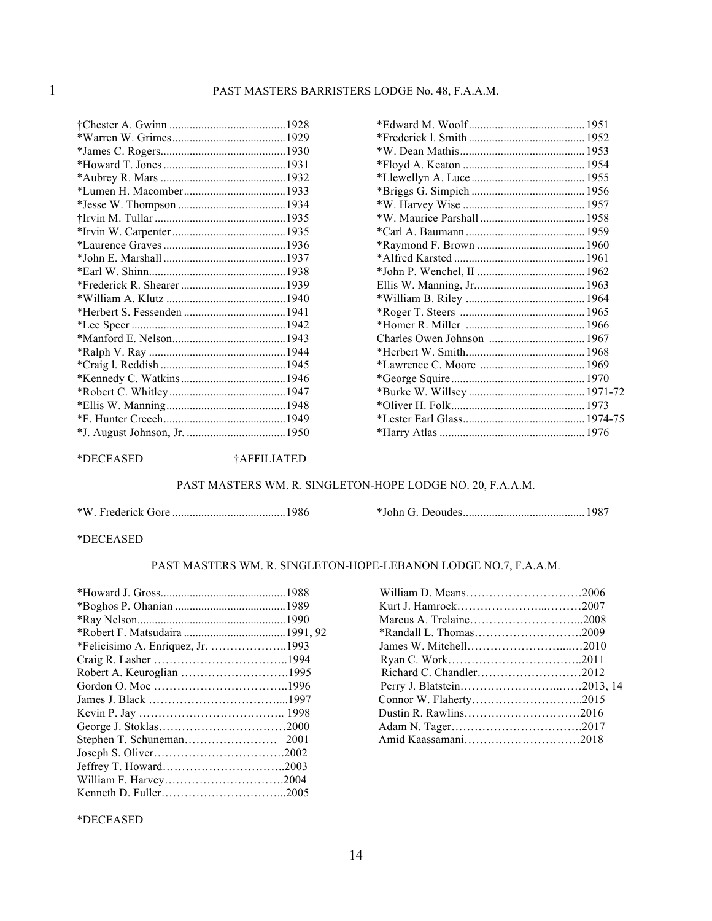#### \*DECEASED †AFFILIATED

#### PAST MASTERS WM. R. SINGLETON-HOPE LODGE NO. 20, F.A.A.M.

\*W. Frederick Gore .......................................1986 \*John G. Deoudes..........................................1987

#### \*DECEASED

#### PAST MASTERS WM. R. SINGLETON-HOPE-LEBANON LODGE NO.7, F.A.A.M.

#### \*DECEASED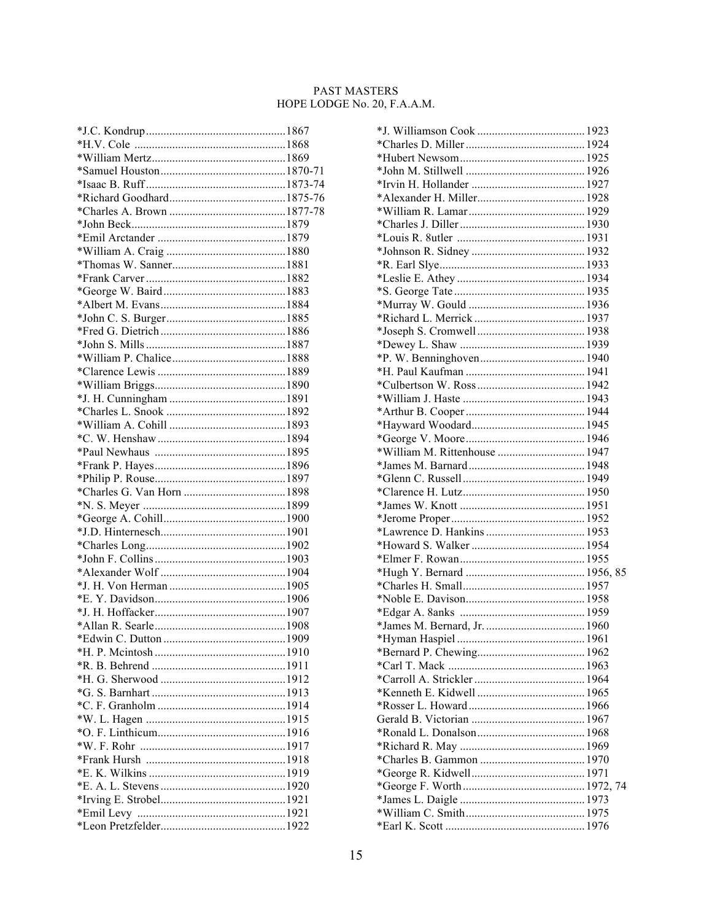#### PAST MASTERS HOPE LODGE No. 20, F.A.A.M.

| *William M. Rittenhouse  1947 |  |
|-------------------------------|--|
|                               |  |
|                               |  |
|                               |  |
|                               |  |
|                               |  |
|                               |  |
|                               |  |
|                               |  |
|                               |  |
|                               |  |
|                               |  |
|                               |  |
|                               |  |
|                               |  |
|                               |  |
|                               |  |
|                               |  |
|                               |  |
|                               |  |
|                               |  |
|                               |  |
|                               |  |
|                               |  |
|                               |  |
|                               |  |
|                               |  |
|                               |  |
|                               |  |
|                               |  |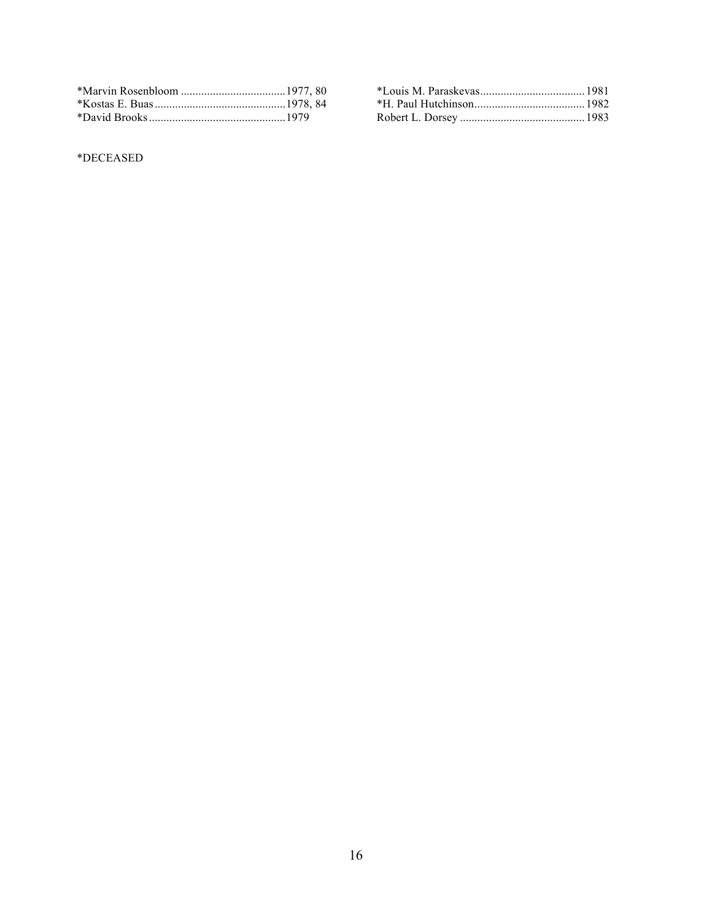\*DECEASED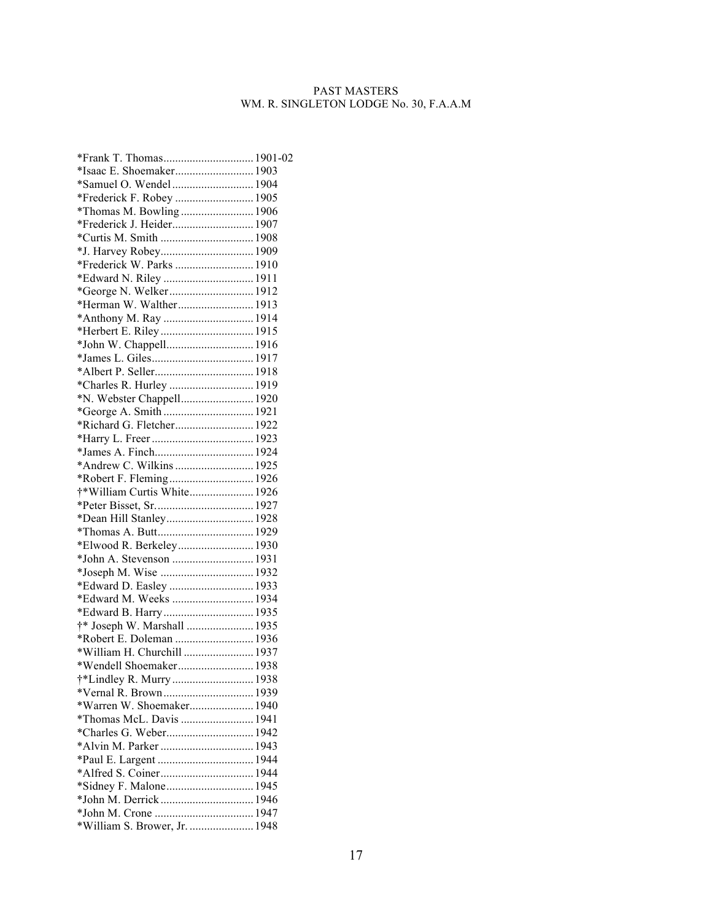#### PAST MASTERS WM. R. SINGLETON LODGE No. 30, F.A.A.M

| *Frank T. Thomas 1901-02                              |  |
|-------------------------------------------------------|--|
| *Isaac E. Shoemaker 1903                              |  |
| *Samuel O. Wendel 1904                                |  |
| *Frederick F. Robey  1905                             |  |
| *Thomas M. Bowling  1906                              |  |
| *Frederick J. Heider 1907                             |  |
| *Curtis M. Smith  1908                                |  |
|                                                       |  |
| *Frederick W. Parks  1910                             |  |
| *Edward N. Riley  1911                                |  |
| *George N. Welker 1912                                |  |
| *Herman W. Walther 1913                               |  |
|                                                       |  |
|                                                       |  |
|                                                       |  |
|                                                       |  |
|                                                       |  |
| *Charles R. Hurley  1919                              |  |
| *N. Webster Chappell 1920                             |  |
|                                                       |  |
| *Richard G. Fletcher 1922                             |  |
|                                                       |  |
|                                                       |  |
| *Andrew C. Wilkins  1925                              |  |
| *Robert F. Fleming 1926                               |  |
| †*William Curtis White 1926                           |  |
|                                                       |  |
| *Dean Hill Stanley 1928                               |  |
|                                                       |  |
| *Elwood R. Berkeley 1930                              |  |
| *John A. Stevenson  1931                              |  |
|                                                       |  |
| *Edward D. Easley  1933                               |  |
| *Edward M. Weeks  1934                                |  |
| *Edward B. Harry  1935                                |  |
| †* Joseph W. Marshall  1935                           |  |
| *Robert E. Doleman  1936                              |  |
| *William H. Churchill  1937                           |  |
| *Wendell Shoemaker 1938                               |  |
|                                                       |  |
| *Vernal R. Brown 1939                                 |  |
|                                                       |  |
| *Warren W. Shoemaker 1940<br>*Thomas McL. Davis  1941 |  |
|                                                       |  |
| *Charles G. Weber 1942                                |  |
|                                                       |  |
|                                                       |  |
|                                                       |  |
|                                                       |  |
|                                                       |  |
|                                                       |  |
| *William S. Brower, Jr.  1948                         |  |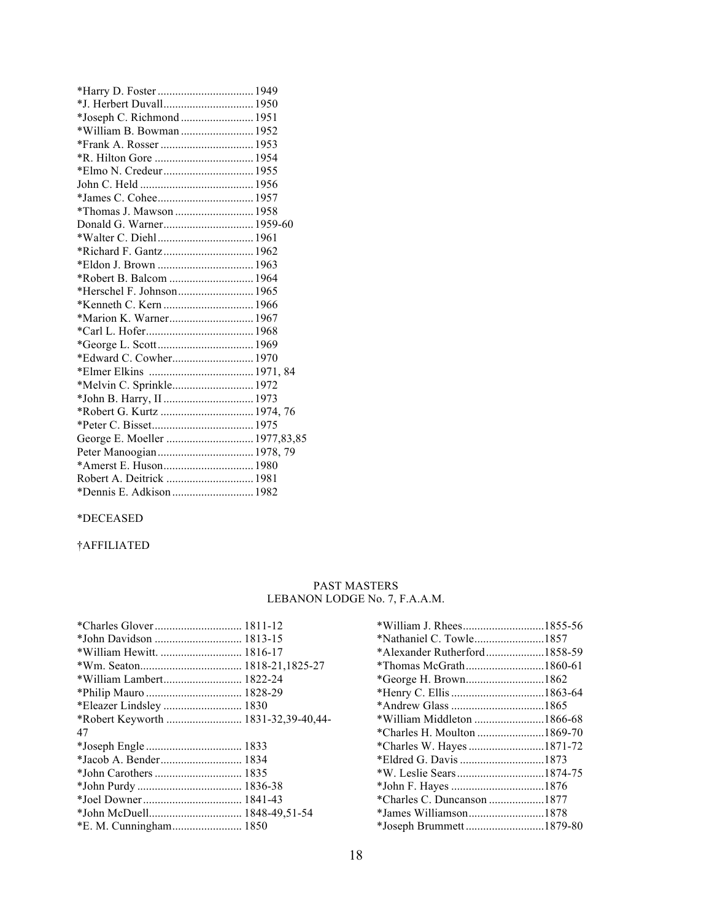| *J. Herbert Duvall 1950   |  |
|---------------------------|--|
| *Joseph C. Richmond  1951 |  |
| *William B. Bowman  1952  |  |
|                           |  |
|                           |  |
|                           |  |
|                           |  |
|                           |  |
| *Thomas J. Mawson  1958   |  |
|                           |  |
|                           |  |
| *Richard F. Gantz 1962    |  |
|                           |  |
| *Robert B. Balcom  1964   |  |
|                           |  |
| *Kenneth C. Kern  1966    |  |
| *Marion K. Warner 1967    |  |
|                           |  |
|                           |  |
| *Edward C. Cowher 1970    |  |
|                           |  |
| *Melvin C. Sprinkle 1972  |  |
|                           |  |
|                           |  |
|                           |  |
|                           |  |
|                           |  |
|                           |  |
| Robert A. Deitrick  1981  |  |
| *Dennis E. Adkison  1982  |  |

#### \*DECEASED

#### †AFFILIATED

#### PAST MASTERS LEBANON LODGE No. 7, F.A.A.M.

| *John Davidson  1813-15             |  |
|-------------------------------------|--|
|                                     |  |
|                                     |  |
| *William Lambert 1822-24            |  |
|                                     |  |
| *Eleazer Lindsley  1830             |  |
| *Robert Keyworth  1831-32,39-40,44- |  |
| 47                                  |  |
|                                     |  |
| *Jacob A. Bender 1834               |  |
|                                     |  |
|                                     |  |
|                                     |  |
|                                     |  |
| *E. M. Cunningham 1850              |  |
|                                     |  |

| *William J. Rhees1855-56     |  |
|------------------------------|--|
| *Nathaniel C. Towle1857      |  |
| *Alexander Rutherford1858-59 |  |
|                              |  |
|                              |  |
|                              |  |
|                              |  |
|                              |  |
|                              |  |
| *Charles W. Hayes 1871-72    |  |
| *Eldred G. Davis 1873        |  |
|                              |  |
|                              |  |
| *Charles C. Duncanson 1877   |  |
| *James Williamson1878        |  |
| *Joseph Brummett 1879-80     |  |